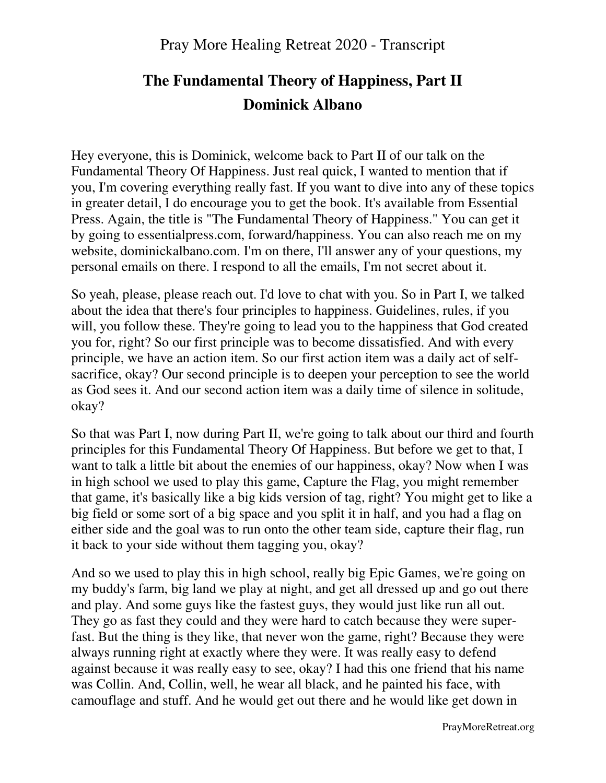# **The Fundamental Theory of Happiness, Part II Dominick Albano**

Hey everyone, this is Dominick, welcome back to Part II of our talk on the Fundamental Theory Of Happiness. Just real quick, I wanted to mention that if you, I'm covering everything really fast. If you want to dive into any of these topics in greater detail, I do encourage you to get the book. It's available from Essential Press. Again, the title is "The Fundamental Theory of Happiness." You can get it by going to essentialpress.com, forward/happiness. You can also reach me on my website, dominickalbano.com. I'm on there, I'll answer any of your questions, my personal emails on there. I respond to all the emails, I'm not secret about it.

So yeah, please, please reach out. I'd love to chat with you. So in Part I, we talked about the idea that there's four principles to happiness. Guidelines, rules, if you will, you follow these. They're going to lead you to the happiness that God created you for, right? So our first principle was to become dissatisfied. And with every principle, we have an action item. So our first action item was a daily act of selfsacrifice, okay? Our second principle is to deepen your perception to see the world as God sees it. And our second action item was a daily time of silence in solitude, okay?

So that was Part I, now during Part II, we're going to talk about our third and fourth principles for this Fundamental Theory Of Happiness. But before we get to that, I want to talk a little bit about the enemies of our happiness, okay? Now when I was in high school we used to play this game, Capture the Flag, you might remember that game, it's basically like a big kids version of tag, right? You might get to like a big field or some sort of a big space and you split it in half, and you had a flag on either side and the goal was to run onto the other team side, capture their flag, run it back to your side without them tagging you, okay?

And so we used to play this in high school, really big Epic Games, we're going on my buddy's farm, big land we play at night, and get all dressed up and go out there and play. And some guys like the fastest guys, they would just like run all out. They go as fast they could and they were hard to catch because they were superfast. But the thing is they like, that never won the game, right? Because they were always running right at exactly where they were. It was really easy to defend against because it was really easy to see, okay? I had this one friend that his name was Collin. And, Collin, well, he wear all black, and he painted his face, with camouflage and stuff. And he would get out there and he would like get down in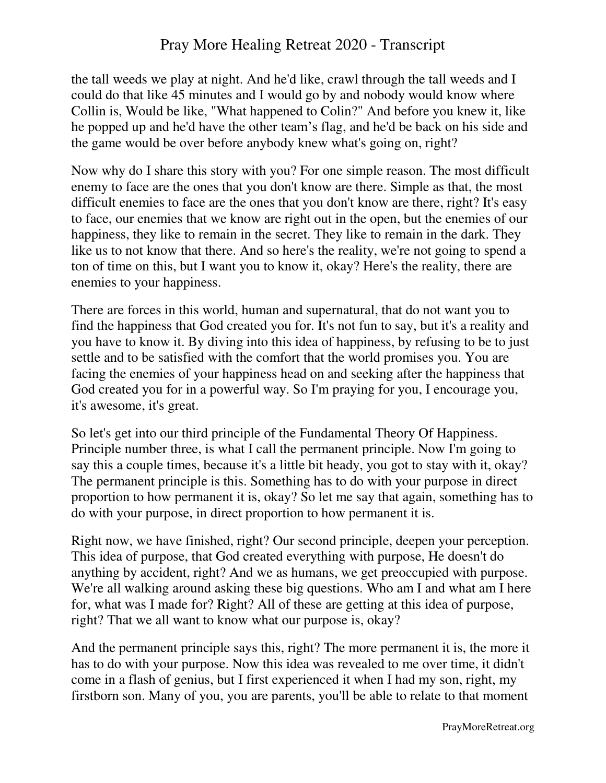the tall weeds we play at night. And he'd like, crawl through the tall weeds and I could do that like 45 minutes and I would go by and nobody would know where Collin is, Would be like, "What happened to Colin?" And before you knew it, like he popped up and he'd have the other team's flag, and he'd be back on his side and the game would be over before anybody knew what's going on, right?

Now why do I share this story with you? For one simple reason. The most difficult enemy to face are the ones that you don't know are there. Simple as that, the most difficult enemies to face are the ones that you don't know are there, right? It's easy to face, our enemies that we know are right out in the open, but the enemies of our happiness, they like to remain in the secret. They like to remain in the dark. They like us to not know that there. And so here's the reality, we're not going to spend a ton of time on this, but I want you to know it, okay? Here's the reality, there are enemies to your happiness.

There are forces in this world, human and supernatural, that do not want you to find the happiness that God created you for. It's not fun to say, but it's a reality and you have to know it. By diving into this idea of happiness, by refusing to be to just settle and to be satisfied with the comfort that the world promises you. You are facing the enemies of your happiness head on and seeking after the happiness that God created you for in a powerful way. So I'm praying for you, I encourage you, it's awesome, it's great.

So let's get into our third principle of the Fundamental Theory Of Happiness. Principle number three, is what I call the permanent principle. Now I'm going to say this a couple times, because it's a little bit heady, you got to stay with it, okay? The permanent principle is this. Something has to do with your purpose in direct proportion to how permanent it is, okay? So let me say that again, something has to do with your purpose, in direct proportion to how permanent it is.

Right now, we have finished, right? Our second principle, deepen your perception. This idea of purpose, that God created everything with purpose, He doesn't do anything by accident, right? And we as humans, we get preoccupied with purpose. We're all walking around asking these big questions. Who am I and what am I here for, what was I made for? Right? All of these are getting at this idea of purpose, right? That we all want to know what our purpose is, okay?

And the permanent principle says this, right? The more permanent it is, the more it has to do with your purpose. Now this idea was revealed to me over time, it didn't come in a flash of genius, but I first experienced it when I had my son, right, my firstborn son. Many of you, you are parents, you'll be able to relate to that moment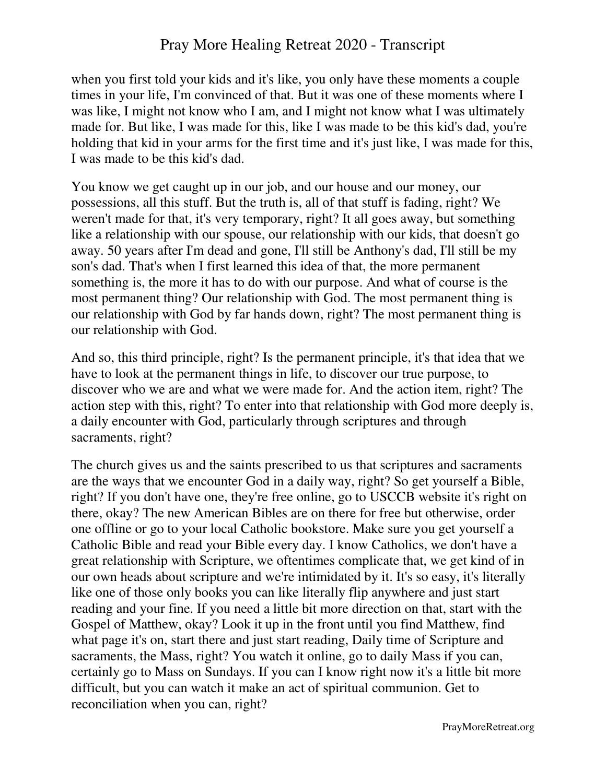when you first told your kids and it's like, you only have these moments a couple times in your life, I'm convinced of that. But it was one of these moments where I was like, I might not know who I am, and I might not know what I was ultimately made for. But like, I was made for this, like I was made to be this kid's dad, you're holding that kid in your arms for the first time and it's just like, I was made for this, I was made to be this kid's dad.

You know we get caught up in our job, and our house and our money, our possessions, all this stuff. But the truth is, all of that stuff is fading, right? We weren't made for that, it's very temporary, right? It all goes away, but something like a relationship with our spouse, our relationship with our kids, that doesn't go away. 50 years after I'm dead and gone, I'll still be Anthony's dad, I'll still be my son's dad. That's when I first learned this idea of that, the more permanent something is, the more it has to do with our purpose. And what of course is the most permanent thing? Our relationship with God. The most permanent thing is our relationship with God by far hands down, right? The most permanent thing is our relationship with God.

And so, this third principle, right? Is the permanent principle, it's that idea that we have to look at the permanent things in life, to discover our true purpose, to discover who we are and what we were made for. And the action item, right? The action step with this, right? To enter into that relationship with God more deeply is, a daily encounter with God, particularly through scriptures and through sacraments, right?

The church gives us and the saints prescribed to us that scriptures and sacraments are the ways that we encounter God in a daily way, right? So get yourself a Bible, right? If you don't have one, they're free online, go to USCCB website it's right on there, okay? The new American Bibles are on there for free but otherwise, order one offline or go to your local Catholic bookstore. Make sure you get yourself a Catholic Bible and read your Bible every day. I know Catholics, we don't have a great relationship with Scripture, we oftentimes complicate that, we get kind of in our own heads about scripture and we're intimidated by it. It's so easy, it's literally like one of those only books you can like literally flip anywhere and just start reading and your fine. If you need a little bit more direction on that, start with the Gospel of Matthew, okay? Look it up in the front until you find Matthew, find what page it's on, start there and just start reading, Daily time of Scripture and sacraments, the Mass, right? You watch it online, go to daily Mass if you can, certainly go to Mass on Sundays. If you can I know right now it's a little bit more difficult, but you can watch it make an act of spiritual communion. Get to reconciliation when you can, right?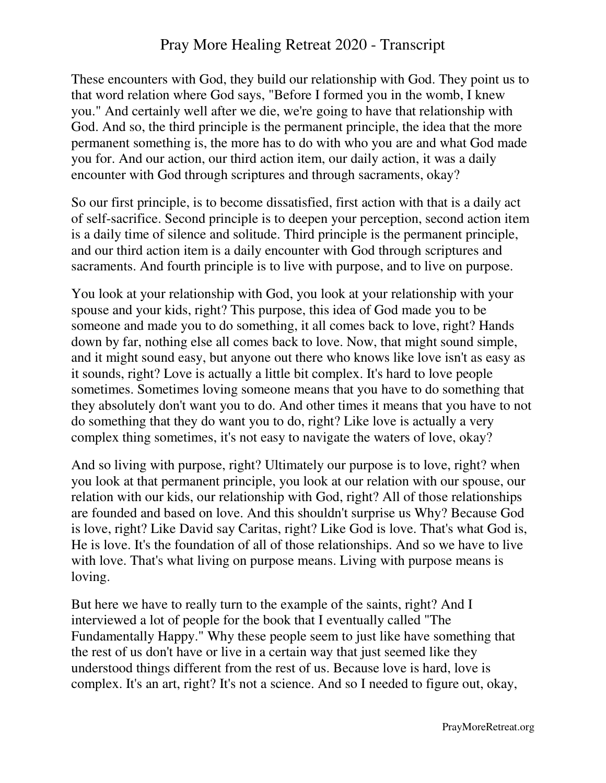These encounters with God, they build our relationship with God. They point us to that word relation where God says, "Before I formed you in the womb, I knew you." And certainly well after we die, we're going to have that relationship with God. And so, the third principle is the permanent principle, the idea that the more permanent something is, the more has to do with who you are and what God made you for. And our action, our third action item, our daily action, it was a daily encounter with God through scriptures and through sacraments, okay?

So our first principle, is to become dissatisfied, first action with that is a daily act of self-sacrifice. Second principle is to deepen your perception, second action item is a daily time of silence and solitude. Third principle is the permanent principle, and our third action item is a daily encounter with God through scriptures and sacraments. And fourth principle is to live with purpose, and to live on purpose.

You look at your relationship with God, you look at your relationship with your spouse and your kids, right? This purpose, this idea of God made you to be someone and made you to do something, it all comes back to love, right? Hands down by far, nothing else all comes back to love. Now, that might sound simple, and it might sound easy, but anyone out there who knows like love isn't as easy as it sounds, right? Love is actually a little bit complex. It's hard to love people sometimes. Sometimes loving someone means that you have to do something that they absolutely don't want you to do. And other times it means that you have to not do something that they do want you to do, right? Like love is actually a very complex thing sometimes, it's not easy to navigate the waters of love, okay?

And so living with purpose, right? Ultimately our purpose is to love, right? when you look at that permanent principle, you look at our relation with our spouse, our relation with our kids, our relationship with God, right? All of those relationships are founded and based on love. And this shouldn't surprise us Why? Because God is love, right? Like David say Caritas, right? Like God is love. That's what God is, He is love. It's the foundation of all of those relationships. And so we have to live with love. That's what living on purpose means. Living with purpose means is loving.

But here we have to really turn to the example of the saints, right? And I interviewed a lot of people for the book that I eventually called "The Fundamentally Happy." Why these people seem to just like have something that the rest of us don't have or live in a certain way that just seemed like they understood things different from the rest of us. Because love is hard, love is complex. It's an art, right? It's not a science. And so I needed to figure out, okay,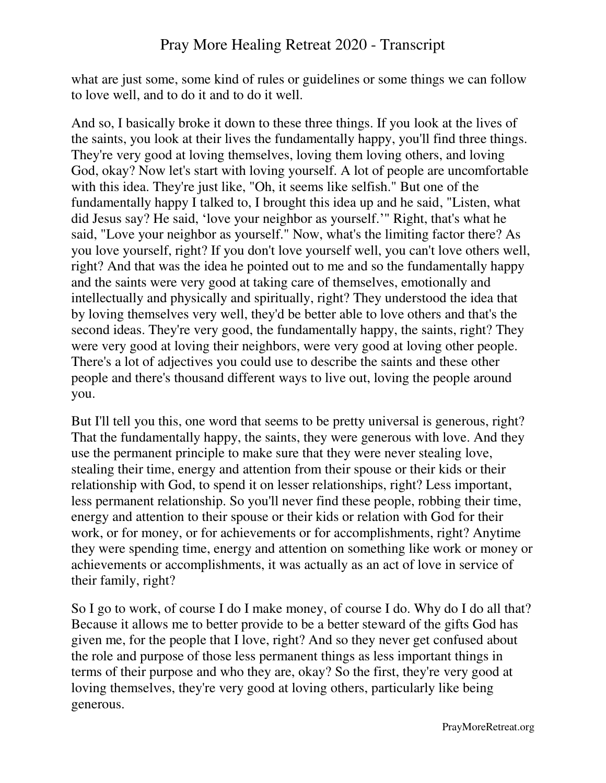what are just some, some kind of rules or guidelines or some things we can follow to love well, and to do it and to do it well.

And so, I basically broke it down to these three things. If you look at the lives of the saints, you look at their lives the fundamentally happy, you'll find three things. They're very good at loving themselves, loving them loving others, and loving God, okay? Now let's start with loving yourself. A lot of people are uncomfortable with this idea. They're just like, "Oh, it seems like selfish." But one of the fundamentally happy I talked to, I brought this idea up and he said, "Listen, what did Jesus say? He said, 'love your neighbor as yourself.'" Right, that's what he said, "Love your neighbor as yourself." Now, what's the limiting factor there? As you love yourself, right? If you don't love yourself well, you can't love others well, right? And that was the idea he pointed out to me and so the fundamentally happy and the saints were very good at taking care of themselves, emotionally and intellectually and physically and spiritually, right? They understood the idea that by loving themselves very well, they'd be better able to love others and that's the second ideas. They're very good, the fundamentally happy, the saints, right? They were very good at loving their neighbors, were very good at loving other people. There's a lot of adjectives you could use to describe the saints and these other people and there's thousand different ways to live out, loving the people around you.

But I'll tell you this, one word that seems to be pretty universal is generous, right? That the fundamentally happy, the saints, they were generous with love. And they use the permanent principle to make sure that they were never stealing love, stealing their time, energy and attention from their spouse or their kids or their relationship with God, to spend it on lesser relationships, right? Less important, less permanent relationship. So you'll never find these people, robbing their time, energy and attention to their spouse or their kids or relation with God for their work, or for money, or for achievements or for accomplishments, right? Anytime they were spending time, energy and attention on something like work or money or achievements or accomplishments, it was actually as an act of love in service of their family, right?

So I go to work, of course I do I make money, of course I do. Why do I do all that? Because it allows me to better provide to be a better steward of the gifts God has given me, for the people that I love, right? And so they never get confused about the role and purpose of those less permanent things as less important things in terms of their purpose and who they are, okay? So the first, they're very good at loving themselves, they're very good at loving others, particularly like being generous.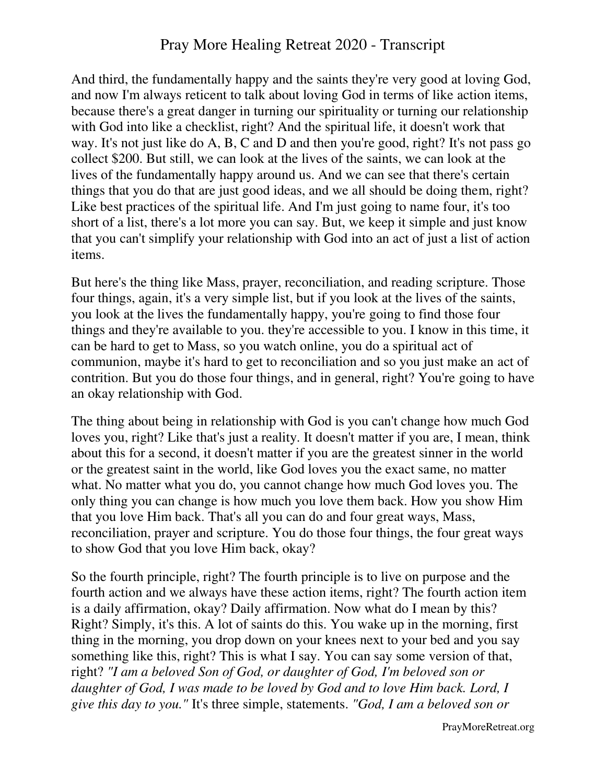And third, the fundamentally happy and the saints they're very good at loving God, and now I'm always reticent to talk about loving God in terms of like action items, because there's a great danger in turning our spirituality or turning our relationship with God into like a checklist, right? And the spiritual life, it doesn't work that way. It's not just like do A, B, C and D and then you're good, right? It's not pass go collect \$200. But still, we can look at the lives of the saints, we can look at the lives of the fundamentally happy around us. And we can see that there's certain things that you do that are just good ideas, and we all should be doing them, right? Like best practices of the spiritual life. And I'm just going to name four, it's too short of a list, there's a lot more you can say. But, we keep it simple and just know that you can't simplify your relationship with God into an act of just a list of action items.

But here's the thing like Mass, prayer, reconciliation, and reading scripture. Those four things, again, it's a very simple list, but if you look at the lives of the saints, you look at the lives the fundamentally happy, you're going to find those four things and they're available to you. they're accessible to you. I know in this time, it can be hard to get to Mass, so you watch online, you do a spiritual act of communion, maybe it's hard to get to reconciliation and so you just make an act of contrition. But you do those four things, and in general, right? You're going to have an okay relationship with God.

The thing about being in relationship with God is you can't change how much God loves you, right? Like that's just a reality. It doesn't matter if you are, I mean, think about this for a second, it doesn't matter if you are the greatest sinner in the world or the greatest saint in the world, like God loves you the exact same, no matter what. No matter what you do, you cannot change how much God loves you. The only thing you can change is how much you love them back. How you show Him that you love Him back. That's all you can do and four great ways, Mass, reconciliation, prayer and scripture. You do those four things, the four great ways to show God that you love Him back, okay?

So the fourth principle, right? The fourth principle is to live on purpose and the fourth action and we always have these action items, right? The fourth action item is a daily affirmation, okay? Daily affirmation. Now what do I mean by this? Right? Simply, it's this. A lot of saints do this. You wake up in the morning, first thing in the morning, you drop down on your knees next to your bed and you say something like this, right? This is what I say. You can say some version of that, right? *"I am a beloved Son of God, or daughter of God, I'm beloved son or daughter of God, I was made to be loved by God and to love Him back. Lord, I give this day to you."* It's three simple, statements. *"God, I am a beloved son or*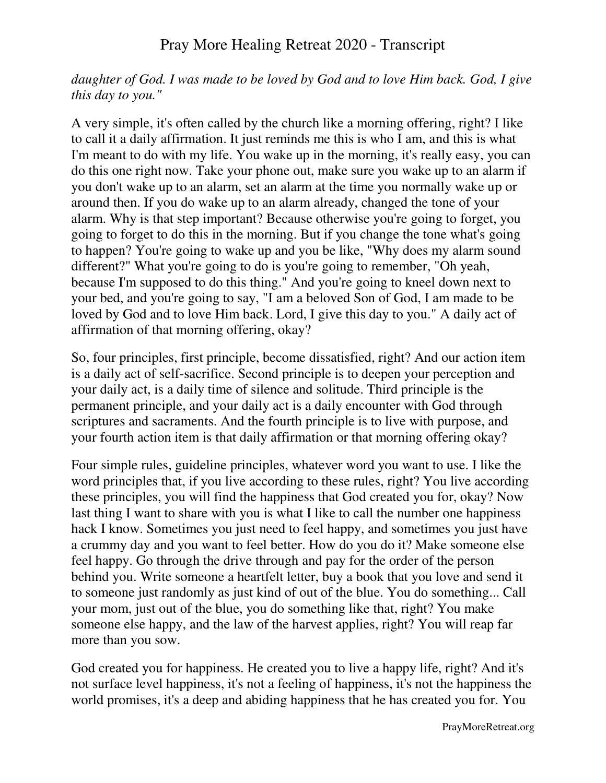#### *daughter of God. I was made to be loved by God and to love Him back. God, I give this day to you."*

A very simple, it's often called by the church like a morning offering, right? I like to call it a daily affirmation. It just reminds me this is who I am, and this is what I'm meant to do with my life. You wake up in the morning, it's really easy, you can do this one right now. Take your phone out, make sure you wake up to an alarm if you don't wake up to an alarm, set an alarm at the time you normally wake up or around then. If you do wake up to an alarm already, changed the tone of your alarm. Why is that step important? Because otherwise you're going to forget, you going to forget to do this in the morning. But if you change the tone what's going to happen? You're going to wake up and you be like, "Why does my alarm sound different?" What you're going to do is you're going to remember, "Oh yeah, because I'm supposed to do this thing." And you're going to kneel down next to your bed, and you're going to say, "I am a beloved Son of God, I am made to be loved by God and to love Him back. Lord, I give this day to you." A daily act of affirmation of that morning offering, okay?

So, four principles, first principle, become dissatisfied, right? And our action item is a daily act of self-sacrifice. Second principle is to deepen your perception and your daily act, is a daily time of silence and solitude. Third principle is the permanent principle, and your daily act is a daily encounter with God through scriptures and sacraments. And the fourth principle is to live with purpose, and your fourth action item is that daily affirmation or that morning offering okay?

Four simple rules, guideline principles, whatever word you want to use. I like the word principles that, if you live according to these rules, right? You live according these principles, you will find the happiness that God created you for, okay? Now last thing I want to share with you is what I like to call the number one happiness hack I know. Sometimes you just need to feel happy, and sometimes you just have a crummy day and you want to feel better. How do you do it? Make someone else feel happy. Go through the drive through and pay for the order of the person behind you. Write someone a heartfelt letter, buy a book that you love and send it to someone just randomly as just kind of out of the blue. You do something... Call your mom, just out of the blue, you do something like that, right? You make someone else happy, and the law of the harvest applies, right? You will reap far more than you sow.

God created you for happiness. He created you to live a happy life, right? And it's not surface level happiness, it's not a feeling of happiness, it's not the happiness the world promises, it's a deep and abiding happiness that he has created you for. You